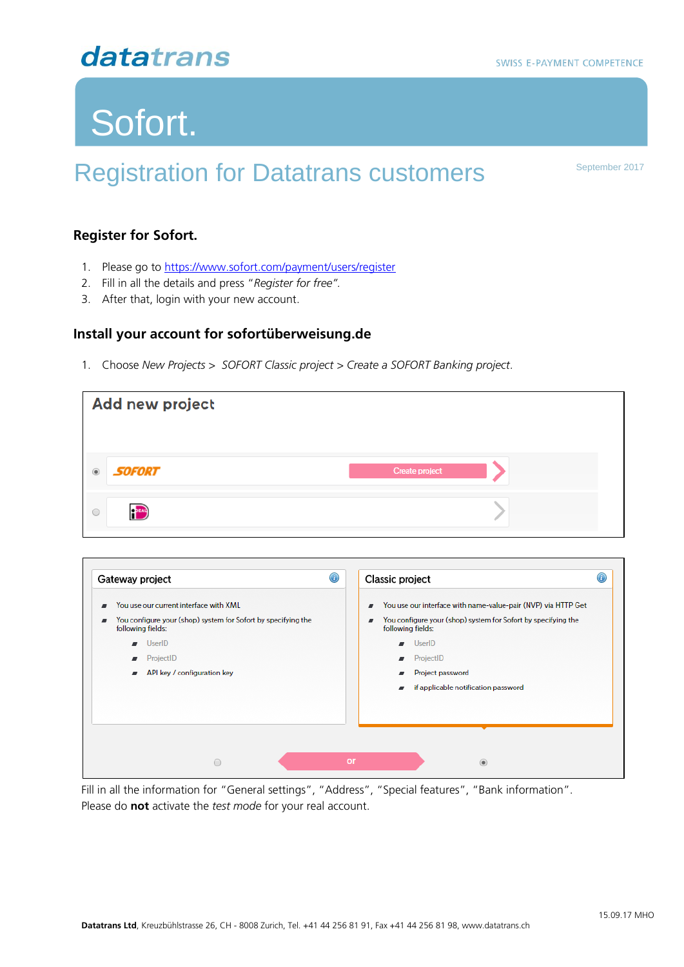# Sofort.

# Registration for Datatrans customers **September 2017**

#### **Register for Sofort.**

- 1. Please go to <https://www.sofort.com/payment/users/register>
- 2. Fill in all the details and press "*Register for free".*
- 3. After that, login with your new account.

#### **Install your account for sofortüberweisung.de**

1. Choose *New Projects > SOFORT Classic project > Create a SOFORT Banking project.*

| Add new project                                                                                                                                            |                                                                                                                                                                           |
|------------------------------------------------------------------------------------------------------------------------------------------------------------|---------------------------------------------------------------------------------------------------------------------------------------------------------------------------|
| <b>SOFORT</b><br>$\circledcirc$                                                                                                                            | Create project                                                                                                                                                            |
| PEAL<br>$\circ$                                                                                                                                            |                                                                                                                                                                           |
| $\bigcirc$<br>Gateway project<br>You use our current interface with XML<br>You configure your (shop) system for Sofort by specifying the<br>$\blacksquare$ | $\bigcirc$<br>Classic project<br>You use our interface with name-value-pair (NVP) via HTTP Get<br>■<br>You configure your (shop) system for Sofort by specifying the<br>ø |
| following fields:<br>UserID<br>ProjectID                                                                                                                   | following fields:<br>UserID<br>ProjectID                                                                                                                                  |
| API key / configuration key                                                                                                                                | Project password<br>if applicable notification password                                                                                                                   |
|                                                                                                                                                            |                                                                                                                                                                           |

Fill in all the information for "General settings", "Address", "Special features", "Bank information". Please do **not** activate the *test mode* for your real account.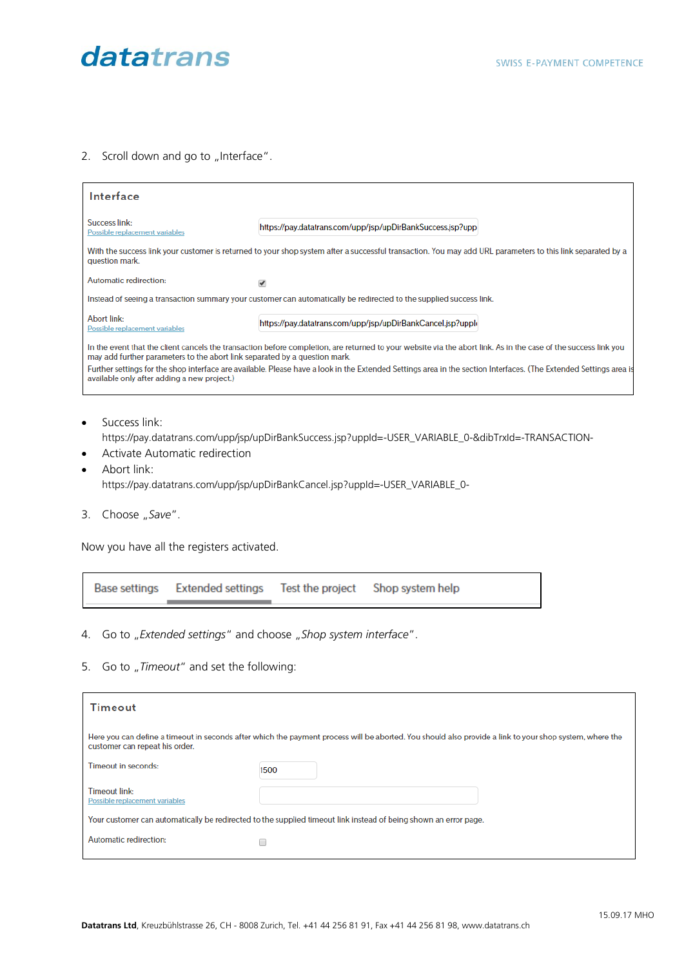

#### 2. Scroll down and go to "Interface".

| Interface                                                                  |                                                                                                                                                                   |
|----------------------------------------------------------------------------|-------------------------------------------------------------------------------------------------------------------------------------------------------------------|
| Success link:<br>Possible replacement variables                            | https://pay.datatrans.com/upp/jsp/upDirBankSuccess.jsp?upp                                                                                                        |
| question mark.                                                             | With the success link your customer is returned to your shop system after a successful transaction. You may add URL parameters to this link separated by a        |
| Automatic redirection:                                                     | ✔                                                                                                                                                                 |
|                                                                            | Instead of seeing a transaction summary your customer can automatically be redirected to the supplied success link.                                               |
| Abort link:<br>Possible replacement variables                              | https://pay.datatrans.com/upp/jsp/upDirBankCancel.jsp?upple                                                                                                       |
| may add further parameters to the abort link separated by a question mark. | In the event that the client cancels the transaction before completion, are returned to your website via the abort link. As in the case of the success link you   |
| available only after adding a new project.)                                | Further settings for the shop interface are available. Please have a look in the Extended Settings area in the section Interfaces. (The Extended Settings area is |
|                                                                            |                                                                                                                                                                   |

- Success link:
	- https://pay.datatrans.com/upp/jsp/upDirBankSuccess.jsp?uppId=-USER\_VARIABLE\_0-&dibTrxId=-TRANSACTION-
- Activate Automatic redirection
- Abort link: https://pay.datatrans.com/upp/jsp/upDirBankCancel.jsp?uppId=-USER\_VARIABLE\_0-
- 3. Choose "Save".

Now you have all the registers activated.

| Test the project Shop system help<br>Base settings Extended settings |  |
|----------------------------------------------------------------------|--|
|----------------------------------------------------------------------|--|

- 4. Go to "Extended settings" and choose "Shop system interface".
- 5. Go to "Timeout" and set the following:

| Timeout                                                                                                          |                                                                                                                                                         |  |
|------------------------------------------------------------------------------------------------------------------|---------------------------------------------------------------------------------------------------------------------------------------------------------|--|
| customer can repeat his order.                                                                                   | Here you can define a timeout in seconds after which the payment process will be aborted. You should also provide a link to your shop system, where the |  |
| Timeout in seconds:                                                                                              | 1500                                                                                                                                                    |  |
| <b>Timeout link:</b><br>Possible replacement variables                                                           |                                                                                                                                                         |  |
| Your customer can automatically be redirected to the supplied timeout link instead of being shown an error page. |                                                                                                                                                         |  |
| Automatic redirection:                                                                                           |                                                                                                                                                         |  |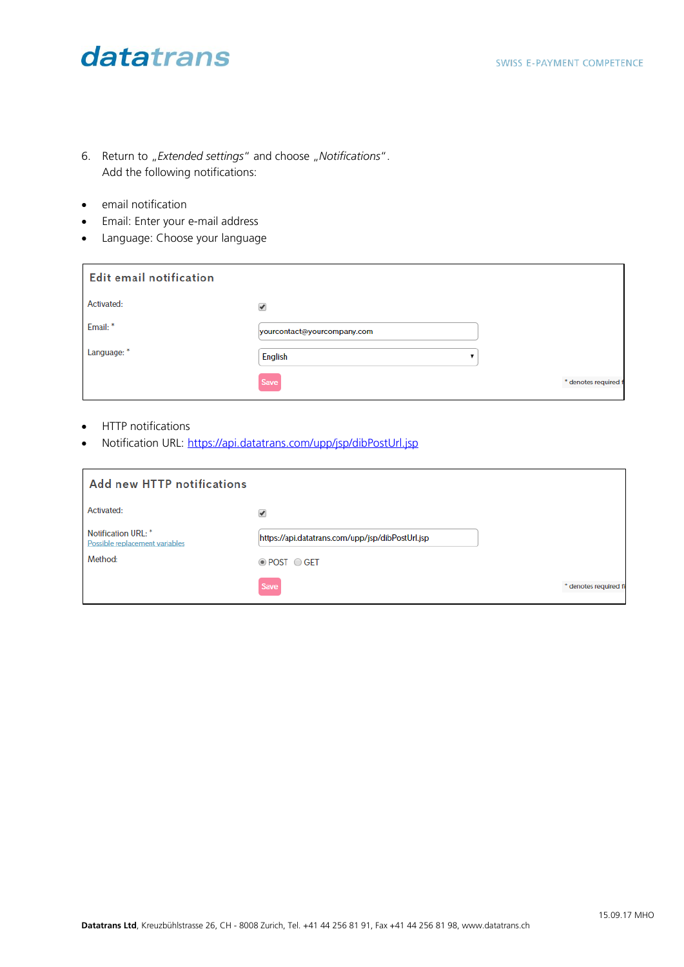- 6. Return to "*Extended settings*" and choose "Notifications". Add the following notifications:
- email notification
- Email: Enter your e-mail address
- Language: Choose your language

| <b>Edit email notification</b> |                             |                      |
|--------------------------------|-----------------------------|----------------------|
| Activated:                     | ✔                           |                      |
| Email:*                        | yourcontact@yourcompany.com |                      |
| Language: *                    | <b>English</b>              |                      |
|                                | Save                        | * denotes required f |

- HTTP notifications
- Notification URL:<https://api.datatrans.com/upp/jsp/dibPostUrl.jsp>

| <b>Add new HTTP notifications</b>                     |                                                  |                       |
|-------------------------------------------------------|--------------------------------------------------|-----------------------|
| Activated:                                            | $\mathcal{I}$                                    |                       |
| Notification URL: *<br>Possible replacement variables | https://api.datatrans.com/upp/jsp/dibPostUrl.jsp |                       |
| Method:                                               | <b>O</b> POST ○ GET                              |                       |
|                                                       | Save                                             | * denotes required fi |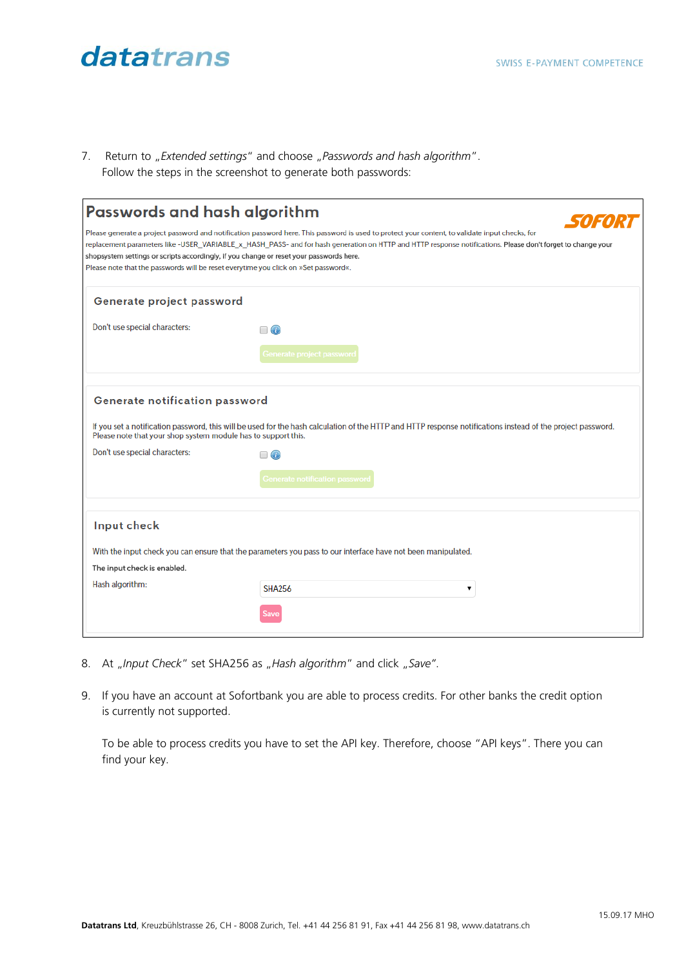7. Return to "*Extended settings*" and choose "Passwords and hash algorithm". Follow the steps in the screenshot to generate both passwords:

| Passwords and hash algorithm                                                                    |                                                                                                                                                                                                                                                                                                                                                                                                          |
|-------------------------------------------------------------------------------------------------|----------------------------------------------------------------------------------------------------------------------------------------------------------------------------------------------------------------------------------------------------------------------------------------------------------------------------------------------------------------------------------------------------------|
| Please note that the passwords will be reset everytime you click on »Set password«.             | Please generate a project password and notification password here. This password is used to protect your content, to validate input checks, for<br>replacement parameters like-USER VARIABLE x HASH PASS- and for hash generation on HTTP and HTTP response notifications. Please don't forget to change your<br>shopsystem settings or scripts accordingly, if you change or reset your passwords here. |
| Generate project password                                                                       |                                                                                                                                                                                                                                                                                                                                                                                                          |
| Don't use special characters:                                                                   | $\Box$ $\odot$<br>Generate project password                                                                                                                                                                                                                                                                                                                                                              |
| Generate notification password<br>Please note that your shop system module has to support this. | If you set a notification password, this will be used for the hash calculation of the HTTP and HTTP response notifications instead of the project password.                                                                                                                                                                                                                                              |
| Don't use special characters:                                                                   | $^{\circ}$<br><b>Generate notification password</b>                                                                                                                                                                                                                                                                                                                                                      |
| Input check                                                                                     |                                                                                                                                                                                                                                                                                                                                                                                                          |
|                                                                                                 | With the input check you can ensure that the parameters you pass to our interface have not been manipulated.                                                                                                                                                                                                                                                                                             |
| The input check is enabled.                                                                     |                                                                                                                                                                                                                                                                                                                                                                                                          |
| Hash algorithm:                                                                                 |                                                                                                                                                                                                                                                                                                                                                                                                          |
|                                                                                                 | <b>SHA256</b>                                                                                                                                                                                                                                                                                                                                                                                            |

- 8. At "Input Check" set SHA256 as "Hash algorithm" and click "Save".
- 9. If you have an account at Sofortbank you are able to process credits. For other banks the credit option is currently not supported.

To be able to process credits you have to set the API key. Therefore, choose "API keys". There you can find your key.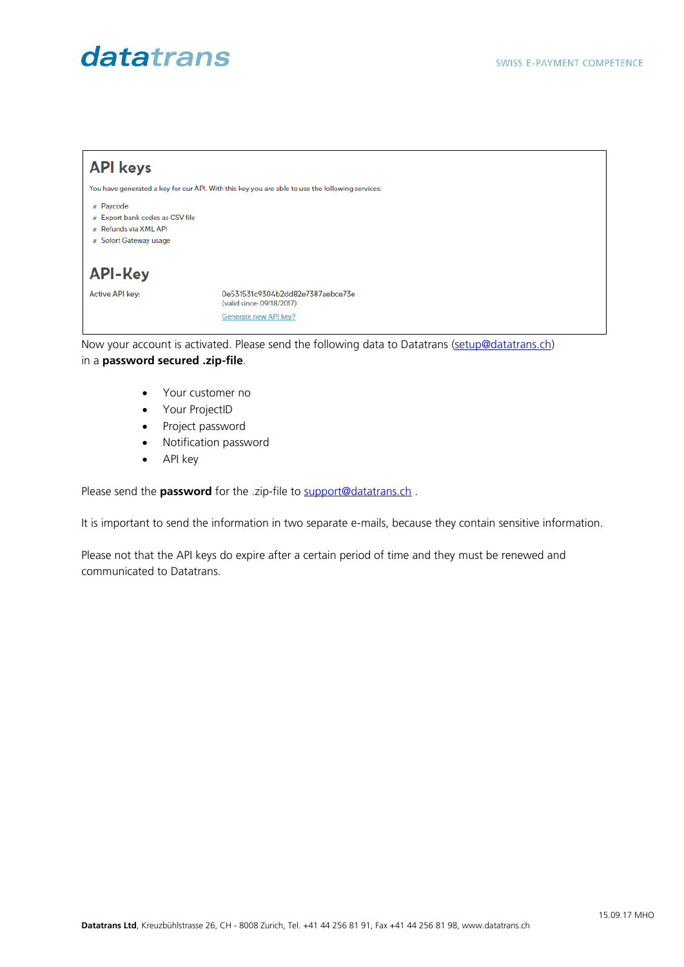

in a **password secured .zip-file**.

- Your customer no
- Your ProjectID
- Project password
- Notification password
- API key

Please send the **password** for the .zip-file to **support@datatrans.ch** .

It is important to send the information in two separate e-mails, because they contain sensitive information.

Please not that the API keys do expire after a certain period of time and they must be renewed and communicated to Datatrans.